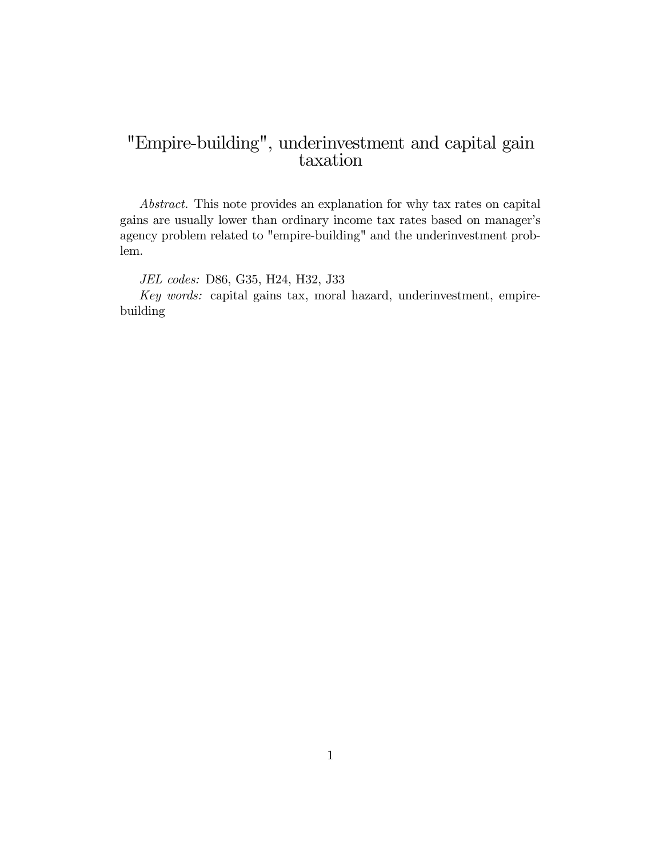# "Empire-building", underinvestment and capital gain taxation

Abstract. This note provides an explanation for why tax rates on capital gains are usually lower than ordinary income tax rates based on manager's agency problem related to "empire-building" and the underinvestment problem.

JEL codes: D86, G35, H24, H32, J33

Key words: capital gains tax, moral hazard, underinvestment, empirebuilding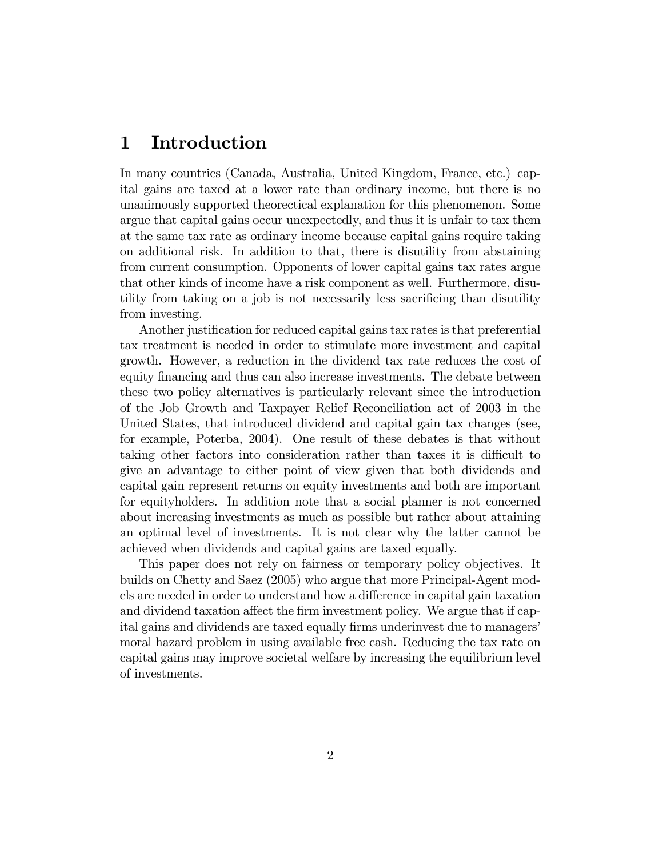## 1 Introduction

In many countries (Canada, Australia, United Kingdom, France, etc.) capital gains are taxed at a lower rate than ordinary income, but there is no unanimously supported theorectical explanation for this phenomenon. Some argue that capital gains occur unexpectedly, and thus it is unfair to tax them at the same tax rate as ordinary income because capital gains require taking on additional risk. In addition to that, there is disutility from abstaining from current consumption. Opponents of lower capital gains tax rates argue that other kinds of income have a risk component as well. Furthermore, disutility from taking on a job is not necessarily less sacrificing than disutility from investing.

Another justification for reduced capital gains tax rates is that preferential tax treatment is needed in order to stimulate more investment and capital growth. However, a reduction in the dividend tax rate reduces the cost of equity financing and thus can also increase investments. The debate between these two policy alternatives is particularly relevant since the introduction of the Job Growth and Taxpayer Relief Reconciliation act of 2003 in the United States, that introduced dividend and capital gain tax changes (see, for example, Poterba, 2004). One result of these debates is that without taking other factors into consideration rather than taxes it is difficult to give an advantage to either point of view given that both dividends and capital gain represent returns on equity investments and both are important for equityholders. In addition note that a social planner is not concerned about increasing investments as much as possible but rather about attaining an optimal level of investments. It is not clear why the latter cannot be achieved when dividends and capital gains are taxed equally.

This paper does not rely on fairness or temporary policy objectives. It builds on Chetty and Saez (2005) who argue that more Principal-Agent models are needed in order to understand how a difference in capital gain taxation and dividend taxation affect the firm investment policy. We argue that if capital gains and dividends are taxed equally firms underinvest due to managers' moral hazard problem in using available free cash. Reducing the tax rate on capital gains may improve societal welfare by increasing the equilibrium level of investments.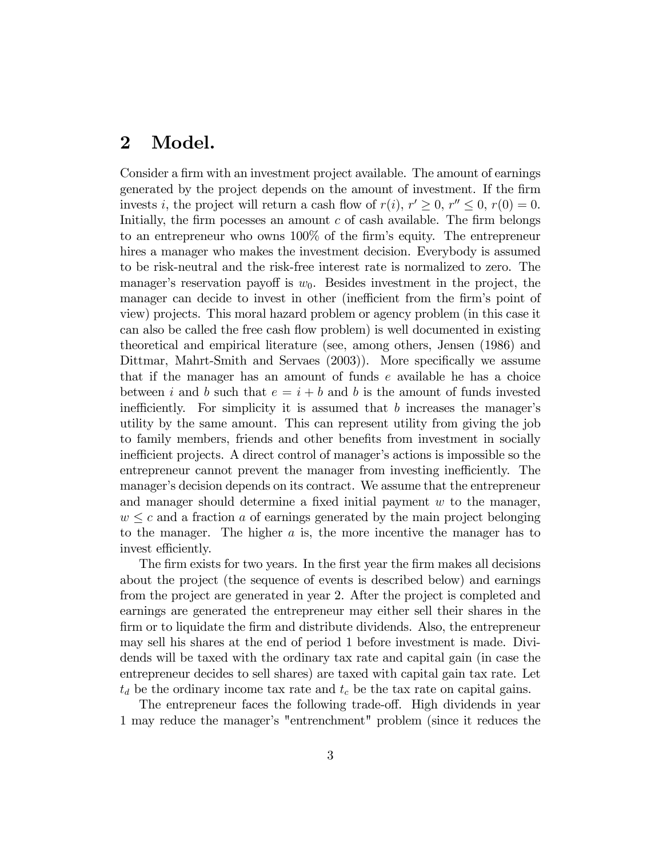### 2 Model.

Consider a firm with an investment project available. The amount of earnings generated by the project depends on the amount of investment. If the Örm invests *i*, the project will return a cash flow of  $r(i)$ ,  $r' \geq 0$ ,  $r'' \leq 0$ ,  $r(0) = 0$ . Initially, the firm pocesses an amount  $c$  of cash available. The firm belongs to an entrepreneur who owns 100% of the firm's equity. The entrepreneur hires a manager who makes the investment decision. Everybody is assumed to be risk-neutral and the risk-free interest rate is normalized to zero. The manager's reservation payoff is  $w_0$ . Besides investment in the project, the manager can decide to invest in other (inefficient from the firm's point of view) projects. This moral hazard problem or agency problem (in this case it can also be called the free cash flow problem) is well documented in existing theoretical and empirical literature (see, among others, Jensen (1986) and Dittmar, Mahrt-Smith and Servaes  $(2003)$ ). More specifically we assume that if the manager has an amount of funds  $e$  available he has a choice between i and b such that  $e = i + b$  and b is the amount of funds invested inefficiently. For simplicity it is assumed that  $b$  increases the manager's utility by the same amount. This can represent utility from giving the job to family members, friends and other benefits from investment in socially inefficient projects. A direct control of manager's actions is impossible so the entrepreneur cannot prevent the manager from investing inefficiently. The manager's decision depends on its contract. We assume that the entrepreneur and manager should determine a fixed initial payment  $w$  to the manager,  $w \leq c$  and a fraction a of earnings generated by the main project belonging to the manager. The higher  $a$  is, the more incentive the manager has to invest efficiently.

The firm exists for two years. In the first year the firm makes all decisions about the project (the sequence of events is described below) and earnings from the project are generated in year 2. After the project is completed and earnings are generated the entrepreneur may either sell their shares in the firm or to liquidate the firm and distribute dividends. Also, the entrepreneur may sell his shares at the end of period 1 before investment is made. Dividends will be taxed with the ordinary tax rate and capital gain (in case the entrepreneur decides to sell shares) are taxed with capital gain tax rate. Let  $t_d$  be the ordinary income tax rate and  $t_c$  be the tax rate on capital gains.

The entrepreneur faces the following trade-off. High dividends in year 1 may reduce the managerís "entrenchment" problem (since it reduces the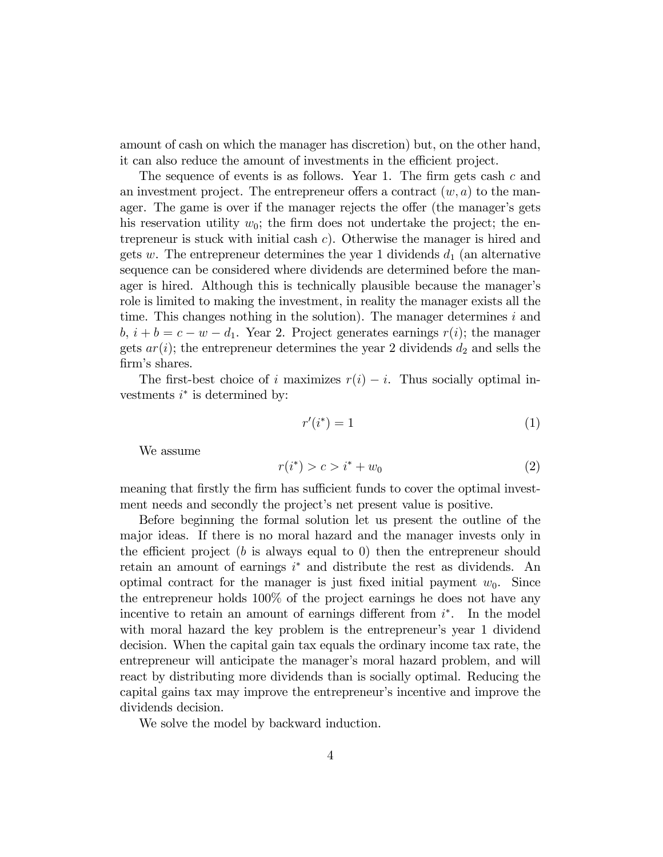amount of cash on which the manager has discretion) but, on the other hand, it can also reduce the amount of investments in the efficient project.

The sequence of events is as follows. Year 1. The firm gets cash  $c$  and an investment project. The entrepreneur offers a contract  $(w, a)$  to the manager. The game is over if the manager rejects the offer (the manager's gets his reservation utility  $w_0$ ; the firm does not undertake the project; the entrepreneur is stuck with initial cash  $c$ ). Otherwise the manager is hired and gets w. The entrepreneur determines the year 1 dividends  $d_1$  (an alternative sequence can be considered where dividends are determined before the manager is hired. Although this is technically plausible because the manager's role is limited to making the investment, in reality the manager exists all the time. This changes nothing in the solution). The manager determines  $i$  and  $b, i + b = c - w - d_1$ . Year 2. Project generates earnings  $r(i)$ ; the manager gets  $ar(i)$ ; the entrepreneur determines the year 2 dividends  $d_2$  and sells the firm's shares.

The first-best choice of i maximizes  $r(i) - i$ . Thus socially optimal investments  $i^*$  is determined by:

$$
r'(i^*) = 1\tag{1}
$$

We assume

$$
r(i^*) > c > i^* + w_0 \tag{2}
$$

meaning that firstly the firm has sufficient funds to cover the optimal investment needs and secondly the project's net present value is positive.

Before beginning the formal solution let us present the outline of the major ideas. If there is no moral hazard and the manager invests only in the efficient project (b is always equal to 0) then the entrepreneur should retain an amount of earnings  $i^*$  and distribute the rest as dividends. An optimal contract for the manager is just fixed initial payment  $w_0$ . Since the entrepreneur holds 100% of the project earnings he does not have any incentive to retain an amount of earnings different from  $i^*$ . In the model with moral hazard the key problem is the entrepreneur's year 1 dividend decision. When the capital gain tax equals the ordinary income tax rate, the entrepreneur will anticipate the manager's moral hazard problem, and will react by distributing more dividends than is socially optimal. Reducing the capital gains tax may improve the entrepreneur's incentive and improve the dividends decision.

We solve the model by backward induction.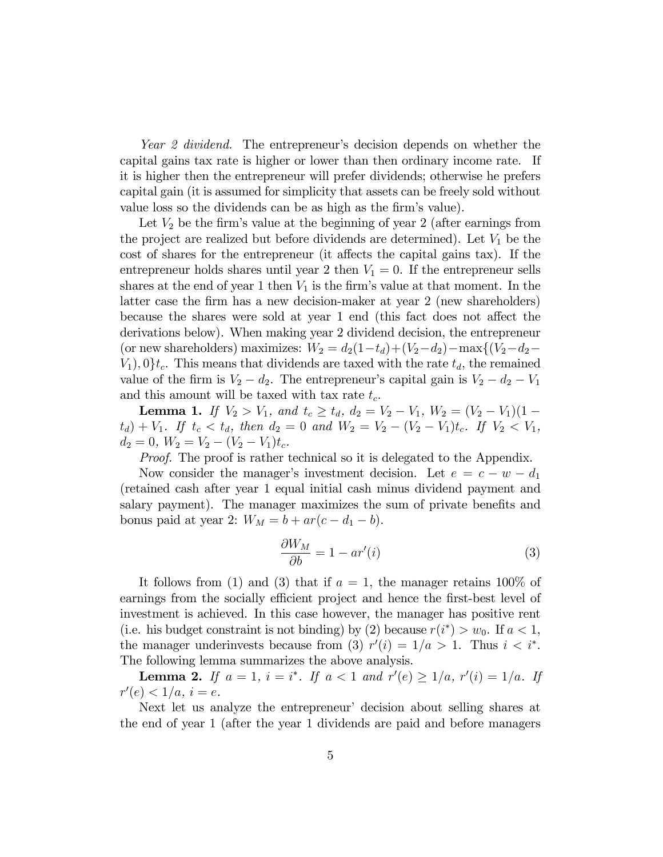Year 2 dividend. The entrepreneur's decision depends on whether the capital gains tax rate is higher or lower than then ordinary income rate. If it is higher then the entrepreneur will prefer dividends; otherwise he prefers capital gain (it is assumed for simplicity that assets can be freely sold without value loss so the dividends can be as high as the firm's value).

Let  $V_2$  be the firm's value at the beginning of year 2 (after earnings from the project are realized but before dividends are determined). Let  $V_1$  be the cost of shares for the entrepreneur (it affects the capital gains tax). If the entrepreneur holds shares until year 2 then  $V_1 = 0$ . If the entrepreneur sells shares at the end of year 1 then  $V_1$  is the firm's value at that moment. In the latter case the Örm has a new decision-maker at year 2 (new shareholders) because the shares were sold at year 1 end (this fact does not affect the derivations below). When making year 2 dividend decision, the entrepreneur (or new shareholders) maximizes:  $W_2 = d_2(1-t_d) + (V_2-d_2) - \max\{(V_2-d_2 V_1$ , 0}t<sub>c</sub>. This means that dividends are taxed with the rate  $t_d$ , the remained value of the firm is  $V_2 - d_2$ . The entrepreneur's capital gain is  $V_2 - d_2 - V_1$ and this amount will be taxed with tax rate  $t_c$ .

**Lemma 1.** If  $V_2 > V_1$ , and  $t_c \geq t_d$ ,  $d_2 = V_2 - V_1$ ,  $W_2 = (V_2 - V_1)(1 (t_d) + V_1$ . If  $t_c < t_d$ , then  $d_2 = 0$  and  $W_2 = V_2 - (V_2 - V_1)t_c$ . If  $V_2 < V_1$ ,  $d_2 = 0, W_2 = V_2 - (V_2 - V_1)t_c.$ 

Proof. The proof is rather technical so it is delegated to the Appendix.

Now consider the manager's investment decision. Let  $e = c - w - d_1$ (retained cash after year 1 equal initial cash minus dividend payment and salary payment). The manager maximizes the sum of private benefits and bonus paid at year 2:  $W_M = b + ar(c - d_1 - b)$ .

$$
\frac{\partial W_M}{\partial b} = 1 - ar'(i) \tag{3}
$$

It follows from (1) and (3) that if  $a = 1$ , the manager retains 100% of earnings from the socially efficient project and hence the first-best level of investment is achieved. In this case however, the manager has positive rent (i.e. his budget constraint is not binding) by (2) because  $r(i^*) > w_0$ . If  $a < 1$ , the manager underinvests because from (3)  $r'(i) = 1/a > 1$ . Thus  $i < i^*$ . The following lemma summarizes the above analysis.

**Lemma 2.** If  $a = 1$ ,  $i = i^*$ . If  $a < 1$  and  $r'(e) \ge 1/a$ ,  $r'(i) = 1/a$ . If  $r'(e) < 1/a, i = e.$ 

Next let us analyze the entrepreneur' decision about selling shares at the end of year 1 (after the year 1 dividends are paid and before managers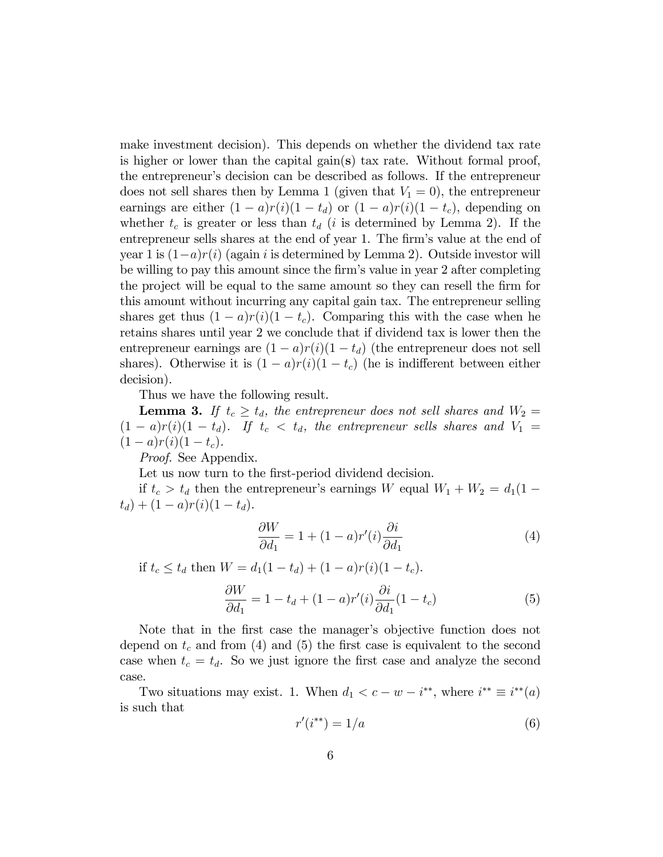make investment decision). This depends on whether the dividend tax rate is higher or lower than the capital gain(s) tax rate. Without formal proof, the entrepreneur's decision can be described as follows. If the entrepreneur does not sell shares then by Lemma 1 (given that  $V_1 = 0$ ), the entrepreneur earnings are either  $(1 - a)r(i)(1 - t_d)$  or  $(1 - a)r(i)(1 - t_c)$ , depending on whether  $t_c$  is greater or less than  $t_d$  (i is determined by Lemma 2). If the entrepreneur sells shares at the end of year 1. The firm's value at the end of year 1 is  $(1-a)r(i)$  (again i is determined by Lemma 2). Outside investor will be willing to pay this amount since the Örmís value in year 2 after completing the project will be equal to the same amount so they can resell the firm for this amount without incurring any capital gain tax. The entrepreneur selling shares get thus  $(1 - a)r(i)(1 - t_c)$ . Comparing this with the case when he retains shares until year 2 we conclude that if dividend tax is lower then the entrepreneur earnings are  $(1 - a)r(i)(1 - t_d)$  (the entrepreneur does not sell shares). Otherwise it is  $(1 - a)r(i)(1 - t_c)$  (he is indifferent between either decision).

Thus we have the following result.

**Lemma 3.** If  $t_c \geq t_d$ , the entrepreneur does not sell shares and  $W_2 =$  $(1 - a)r(i)(1 - t_d)$ . If  $t_c < t_d$ , the entrepreneur sells shares and  $V_1 =$  $(1 - a)r(i)(1 - t_c).$ 

Proof. See Appendix.

Let us now turn to the first-period dividend decision.

if  $t_c > t_d$  then the entrepreneur's earnings W equal  $W_1 + W_2 = d_1(1 (t_d) + (1 - a)r(i)(1 - t_d).$ 

$$
\frac{\partial W}{\partial d_1} = 1 + (1 - a)r'(i)\frac{\partial i}{\partial d_1} \tag{4}
$$

if  $t_c \le t_d$  then  $W = d_1(1 - t_d) + (1 - a)r(i)(1 - t_c)$ .

$$
\frac{\partial W}{\partial d_1} = 1 - t_d + (1 - a)r'(i)\frac{\partial i}{\partial d_1}(1 - t_c)
$$
\n(5)

Note that in the first case the manager's objective function does not depend on  $t_c$  and from (4) and (5) the first case is equivalent to the second case when  $t_c = t_d$ . So we just ignore the first case and analyze the second case.

Two situations may exist. 1. When  $d_1 < c - w - i^{**}$ , where  $i^{**} \equiv i^{**}(a)$ is such that

$$
r'(i^{**}) = 1/a \tag{6}
$$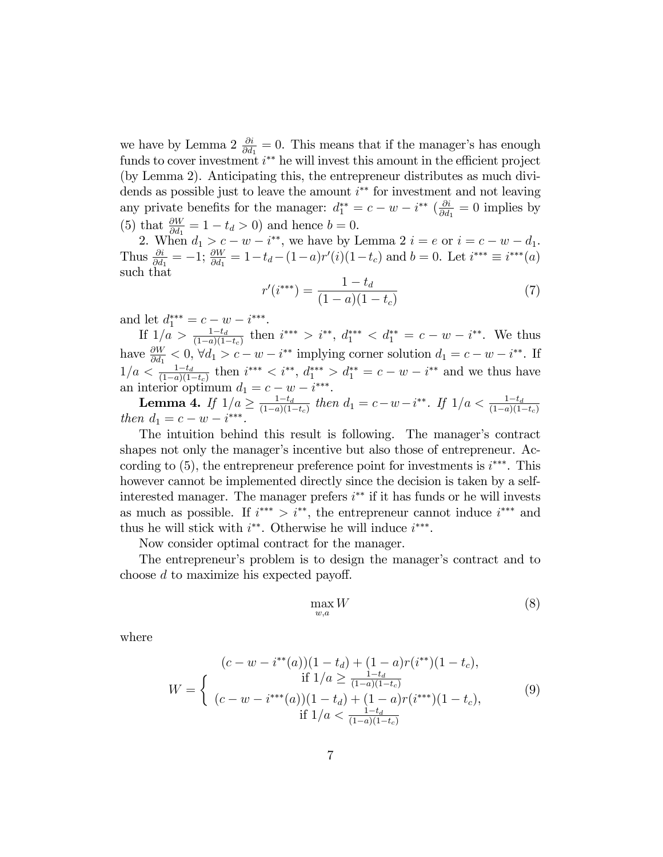we have by Lemma 2  $\frac{\partial i}{\partial d_1} = 0$ . This means that if the manager's has enough funds to cover investment  $i^{**}$  he will invest this amount in the efficient project (by Lemma 2). Anticipating this, the entrepreneur distributes as much dividends as possible just to leave the amount  $i^{**}$  for investment and not leaving any private benefits for the manager:  $d_1^{**} = c - w - i^{**} \left( \frac{\partial i}{\partial d} \right)$  $\frac{\partial i}{\partial d_1} = 0$  implies by (5) that  $\frac{\partial W}{\partial d_1} = 1 - t_d > 0$  and hence  $b = 0$ .

2. When  $d_1 > c - w - i^{**}$ , we have by Lemma  $2 i = e$  or  $i = c - w - d_1$ . Thus  $\frac{\partial i}{\partial d_1} = -1; \frac{\partial W}{\partial d_1}$  $\frac{\partial W}{\partial d_1} = 1 - t_d - (1 - a)r'(i)(1 - t_c)$  and  $b = 0$ . Let  $i^{***} \equiv i^{***}(a)$ such that

$$
r'(i^{***}) = \frac{1 - t_d}{(1 - a)(1 - t_c)}
$$
\n(7)

and let  $d_1^{***} = c - w - i^{***}$ .

If  $1/a > \frac{1-t_d}{(1-a)(1-t_c)}$  then  $i^{***} > i^{**}$ ,  $d_1^{***} < d_1^{**} = c - w - i^{**}$ . We thus have  $\frac{\partial W}{\partial d_1} < 0$ ,  $\forall d_1 > c - w - i^{**}$  implying corner solution  $d_1 = c - w - i^{**}$ . If  $\frac{\partial W}{\partial d_1}$  < 0,  $\forall d_1 > c - w - i^{**}$  implying corner solution  $d_1 = c - w - i$  $1/a < \frac{1-t_d}{(1-a)(1-t_c)}$  then  $i^{***} < i^{**}, d^{***}_{1} > d^{**}_{1} = c-w-i^{**}$  and we thus have an interior optimum  $d_1 = c - w - i^{***}$ .

**Lemma 4.** If  $1/a \ge \frac{1-t_d}{(1-a)(1-a)}$ **Lemma 4.** If  $1/a \ge \frac{1-t_d}{(1-a)(1-t_c)}$  then  $d_1 = c-w-i^{**}$ . If  $1/a < \frac{1-t_d}{(1-a)(1-t_c)}$ <br>then  $d_1 = c-w-i^{***}$ .

The intuition behind this result is following. The manager's contract shapes not only the manager's incentive but also those of entrepreneur. According to  $(5)$ , the entrepreneur preference point for investments is  $i^{***}$ . This however cannot be implemented directly since the decision is taken by a selfinterested manager. The manager prefers  $i^{**}$  if it has funds or he will invests as much as possible. If  $i^{**} > i^{**}$ , the entrepreneur cannot induce  $i^{***}$  and thus he will stick with  $i^{**}$ . Otherwise he will induce  $i^{***}$ .

Now consider optimal contract for the manager.

The entrepreneur's problem is to design the manager's contract and to choose  $d$  to maximize his expected payoff.

$$
\max_{w,a} W \tag{8}
$$

where

$$
(c-w-i^{**}(a))(1-t_d) + (1-a)r(i^{**})(1-t_c),
$$
  
\n
$$
W = \begin{cases} \n\text{if } 1/a \ge \frac{1-t_d}{(1-a)(1-t_c)}\\ \n(c-w-i^{***}(a))(1-t_d) + (1-a)r(i^{***})(1-t_c),\\ \n\text{if } 1/a < \frac{1-t_d}{(1-a)(1-t_c)} \n\end{cases}
$$
\n(9)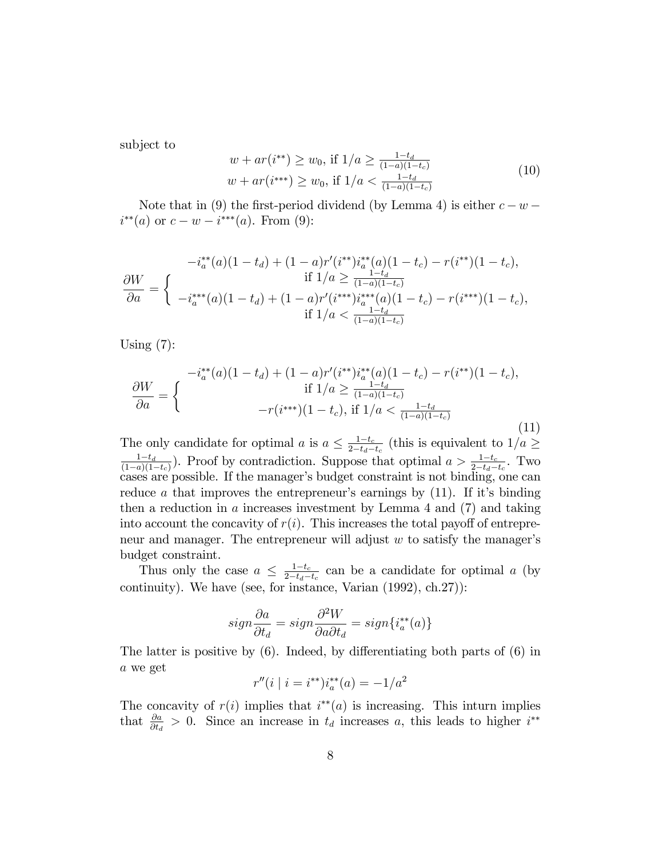subject to

$$
w + ar(i^{**}) \ge w_0, \text{ if } 1/a \ge \frac{1-t_d}{(1-a)(1-t_c)}
$$
  

$$
w + ar(i^{***}) \ge w_0, \text{ if } 1/a < \frac{1-t_d}{(1-a)(1-t_c)}
$$
 (10)

Note that in (9) the first-period dividend (by Lemma 4) is either  $c - w$  $i^{**}(a)$  or  $c - w - i^{***}(a)$ . From (9):

$$
-i_a^{**}(a)(1-t_d) + (1-a)r'(i^{**})i_a^{**}(a)(1-t_c) - r(i^{**})(1-t_c),
$$
  
\n
$$
\frac{\partial W}{\partial a} = \begin{cases} \n\text{if } 1/a \ge \frac{1-t_d}{(1-a)(1-t_c)}\\ \n-i_a^{***}(a)(1-t_d) + (1-a)r'(i^{***})i_a^{***}(a)(1-t_c) - r(i^{***})(1-t_c),\\ \n\text{if } 1/a < \frac{1-t_d}{(1-a)(1-t_c)} \n\end{cases}
$$

Using  $(7)$ :

$$
\frac{\partial W}{\partial a} = \begin{cases}\n-i_{a}^{**}(a)(1-t_{d}) + (1-a)r'(i^{**})i_{a}^{**}(a)(1-t_{c}) - r(i^{**})(1-t_{c}), \\
\text{if } 1/a \ge \frac{1-t_{d}}{(1-a)(1-t_{c})} \\
-r(i^{***})(1-t_{c}), \text{if } 1/a < \frac{1-t_{d}}{(1-a)(1-t_{c})}\n\end{cases} (11)
$$

The only candidate for optimal a is  $a \leq \frac{1-t_c}{2-t_d}$  $\frac{1-t_c}{2-t_d-t_c}$  (this is equivalent to  $1/a \ge$  $\frac{1-t_d}{}$  $\frac{1-t_d}{(1-a)(1-t_c)}$ . Proof by contradiction. Suppose that optimal  $a > \frac{1-t_c}{2-t_d-t_c}$ . Two cases are possible. If the manager's budget constraint is not binding, one can reduce a that improves the entrepreneur's earnings by  $(11)$ . If it's binding then a reduction in  $\alpha$  increases investment by Lemma 4 and (7) and taking into account the concavity of  $r(i)$ . This increases the total payoff of entrepreneur and manager. The entrepreneur will adjust  $w$  to satisfy the manager's budget constraint.

Thus only the case  $a \leq \frac{1-t_c}{2-t_d}$  $\frac{1-t_c}{2-t_d-t_c}$  can be a candidate for optimal a (by continuity). We have (see, for instance, Varian (1992), ch.27)):

$$
sign\frac{\partial a}{\partial t_d} = sign\frac{\partial^2 W}{\partial a \partial t_d} = sign\{i_a^{**}(a)\}
$$

The latter is positive by  $(6)$ . Indeed, by differentiating both parts of  $(6)$  in a we get

$$
r''(i \mid i = i^{**})i_a^{**}(a) = -1/a^2
$$

The concavity of  $r(i)$  implies that  $i^{**}(a)$  is increasing. This inturn implies that  $\frac{\partial a}{\partial t_d} > 0$ . Since an increase in  $t_d$  increases a, this leads to higher  $i^{**}$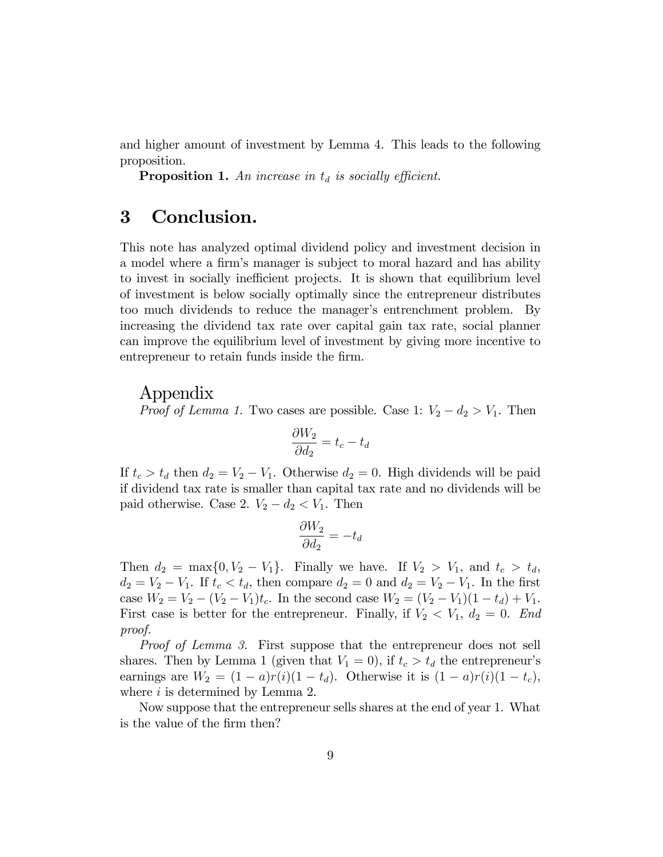and higher amount of investment by Lemma 4. This leads to the following proposition.

**Proposition 1.** An increase in  $t_d$  is socially efficient.

### 3 Conclusion.

This note has analyzed optimal dividend policy and investment decision in a model where a firm's manager is subject to moral hazard and has ability to invest in socially inefficient projects. It is shown that equilibrium level of investment is below socially optimally since the entrepreneur distributes too much dividends to reduce the manager's entrenchment problem. By increasing the dividend tax rate over capital gain tax rate, social planner can improve the equilibrium level of investment by giving more incentive to entrepreneur to retain funds inside the firm.

#### Appendix

*Proof of Lemma 1.* Two cases are possible. Case 1:  $V_2 - d_2 > V_1$ . Then

$$
\frac{\partial W_2}{\partial d_2} = t_c - t_d
$$

If  $t_c > t_d$  then  $d_2 = V_2 - V_1$ . Otherwise  $d_2 = 0$ . High dividends will be paid if dividend tax rate is smaller than capital tax rate and no dividends will be paid otherwise. Case 2.  $V_2 - d_2 < V_1$ . Then

$$
\frac{\partial W_2}{\partial d_2} = -t_d
$$

Then  $d_2 = \max\{0, V_2 - V_1\}$ . Finally we have. If  $V_2 > V_1$ , and  $t_c > t_d$ ,  $d_2 = V_2 - V_1$ . If  $t_c < t_d$ , then compare  $d_2 = 0$  and  $d_2 = V_2 - V_1$ . In the first case  $W_2 = V_2 - (V_2 - V_1)t_c$ . In the second case  $W_2 = (V_2 - V_1)(1 - t_d) + V_1$ . First case is better for the entrepreneur. Finally, if  $V_2 < V_1$ ,  $d_2 = 0$ . End proof.

Proof of Lemma 3. First suppose that the entrepreneur does not sell shares. Then by Lemma 1 (given that  $V_1 = 0$ ), if  $t_c > t_d$  the entrepreneur's earnings are  $W_2 = (1 - a)r(i)(1 - t_d)$ . Otherwise it is  $(1 - a)r(i)(1 - t_c)$ , where  $i$  is determined by Lemma 2.

Now suppose that the entrepreneur sells shares at the end of year 1. What is the value of the firm then?